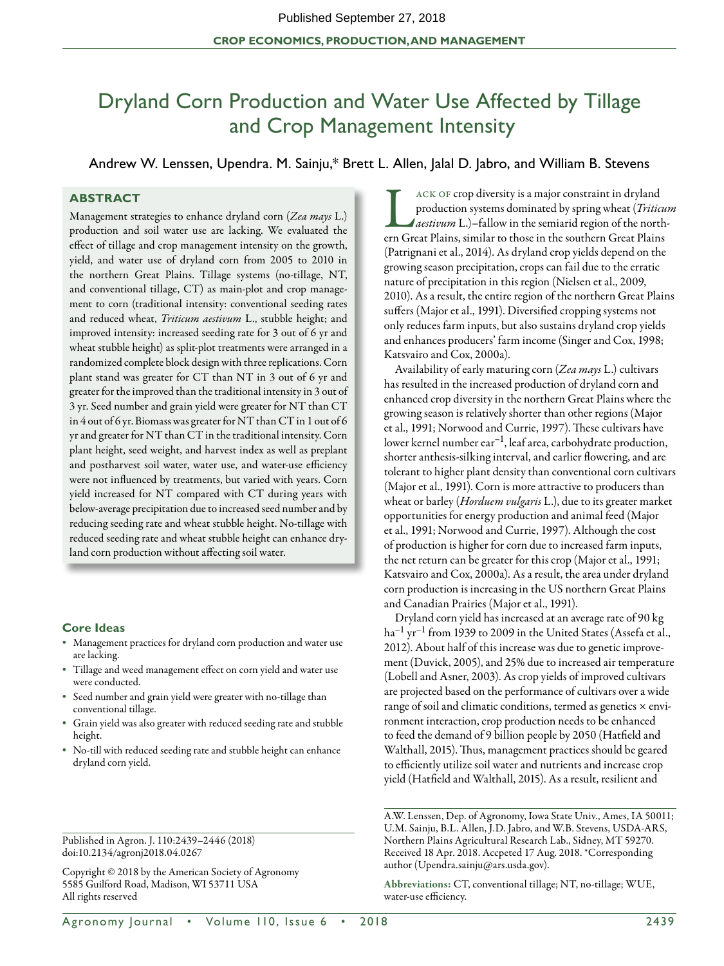# Dryland Corn Production and Water Use Affected by Tillage and Crop Management Intensity

Andrew W. Lenssen, Upendra. M. Sainju,\* Brett L. Allen, Jalal D. Jabro, and William B. Stevens

## **ABSTRACT**

Management strategies to enhance dryland corn (*Zea mays* L.) production and soil water use are lacking. We evaluated the effect of tillage and crop management intensity on the growth, yield, and water use of dryland corn from 2005 to 2010 in the northern Great Plains. Tillage systems (no-tillage, NT, and conventional tillage, CT) as main-plot and crop management to corn (traditional intensity: conventional seeding rates and reduced wheat, *Triticum aestivum* L., stubble height; and improved intensity: increased seeding rate for 3 out of 6 yr and wheat stubble height) as split-plot treatments were arranged in a randomized complete block design with three replications. Corn plant stand was greater for CT than NT in 3 out of 6 yr and greater for the improved than the traditional intensity in 3 out of 3 yr. Seed number and grain yield were greater for NT than CT in 4 out of 6 yr. Biomass was greater for NT than CT in 1 out of 6 yr and greater for NT than CT in the traditional intensity. Corn plant height, seed weight, and harvest index as well as preplant and postharvest soil water, water use, and water-use efficiency were not influenced by treatments, but varied with years. Corn yield increased for NT compared with CT during years with below-average precipitation due to increased seed number and by reducing seeding rate and wheat stubble height. No-tillage with reduced seeding rate and wheat stubble height can enhance dryland corn production without affecting soil water.

#### **Core Ideas**

- Management practices for dryland corn production and water use are lacking.
- Tillage and weed management effect on corn yield and water use were conducted.
- • Seed number and grain yield were greater with no-tillage than conventional tillage.
- • Grain yield was also greater with reduced seeding rate and stubble height.
- No-till with reduced seeding rate and stubble height can enhance dryland corn yield.

Published in Agron. J. 110:2439–2446 (2018) doi:10.2134/agronj2018.04.0267

Copyright © 2018 by the American Society of Agronomy 5585 Guilford Road, Madison, WI 53711 USA All rights reserved

ACK OF crop diversity is a major constraint in dryland production systems dominated by spring wheat (*Triticum aestivum* L.)–fallow in the semiarid region of the northern Great Plains, similar to those in the southern Great Plains (Patrignani et al., 2014). As dryland crop yields depend on the growing season precipitation, crops can fail due to the erratic nature of precipitation in this region (Nielsen et al., 2009, 2010). As a result, the entire region of the northern Great Plains suffers (Major et al., 1991). Diversified cropping systems not only reduces farm inputs, but also sustains dryland crop yields and enhances producers' farm income (Singer and Cox, 1998; Katsvairo and Cox, 2000a).

Availability of early maturing corn (*Zea mays* L.) cultivars has resulted in the increased production of dryland corn and enhanced crop diversity in the northern Great Plains where the growing season is relatively shorter than other regions (Major et al., 1991; Norwood and Currie, 1997). These cultivars have lower kernel number  $ear^{-1}$ , leaf area, carbohydrate production, shorter anthesis-silking interval, and earlier flowering, and are tolerant to higher plant density than conventional corn cultivars (Major et al., 1991). Corn is more attractive to producers than wheat or barley (*Horduem vulgaris* L.), due to its greater market opportunities for energy production and animal feed (Major et al., 1991; Norwood and Currie, 1997). Although the cost of production is higher for corn due to increased farm inputs, the net return can be greater for this crop (Major et al., 1991; Katsvairo and Cox, 2000a). As a result, the area under dryland corn production is increasing in the US northern Great Plains and Canadian Prairies (Major et al., 1991).

Dryland corn yield has increased at an average rate of 90 kg  $\rm{ha^{-1}\,yr^{-1}}$  from 1939 to 2009 in the United States (Assefa et al., 2012). About half of this increase was due to genetic improvement (Duvick, 2005), and 25% due to increased air temperature (Lobell and Asner, 2003). As crop yields of improved cultivars are projected based on the performance of cultivars over a wide range of soil and climatic conditions, termed as genetics  $\times$  environment interaction, crop production needs to be enhanced to feed the demand of 9 billion people by 2050 (Hatfield and Walthall, 2015). Thus, management practices should be geared to efficiently utilize soil water and nutrients and increase crop yield (Hatfield and Walthall, 2015). As a result, resilient and

A.W. Lenssen, Dep. of Agronomy, Iowa State Univ., Ames, IA 50011; U.M. Sainju, B.L. Allen, J.D. Jabro, and W.B. Stevens, USDA-ARS, Northern Plains Agricultural Research Lab., Sidney, MT 59270. Received 18 Apr. 2018. Accpeted 17 Aug. 2018. \*Corresponding author (Upendra.sainju@ars.usda.gov).

Abbreviations: CT, conventional tillage; NT, no-tillage; WUE, water-use efficiency.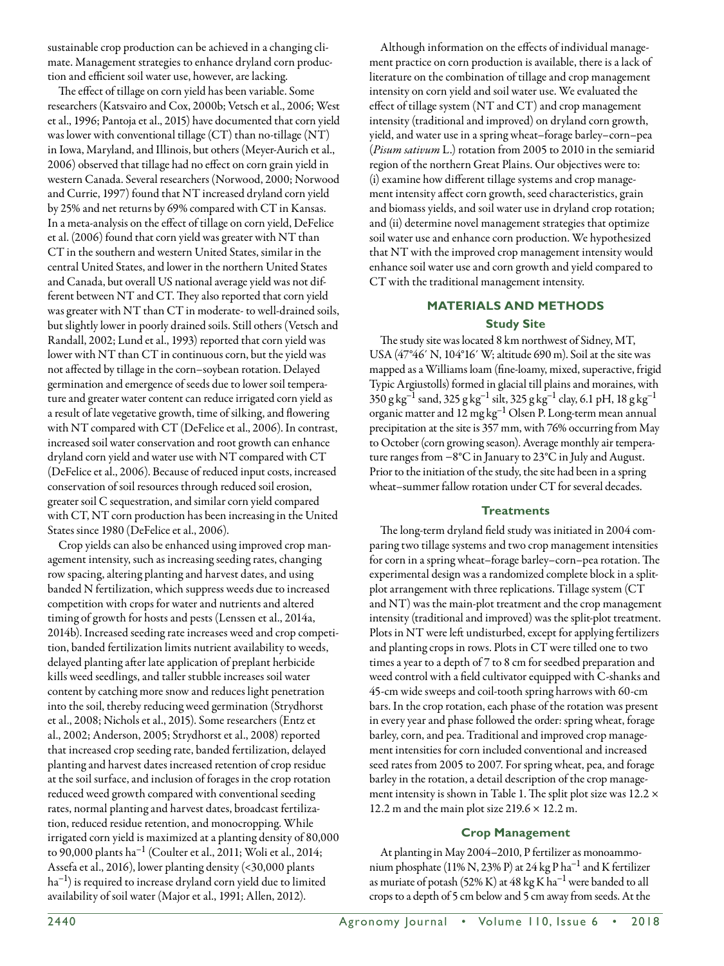sustainable crop production can be achieved in a changing climate. Management strategies to enhance dryland corn production and efficient soil water use, however, are lacking.

The effect of tillage on corn yield has been variable. Some researchers (Katsvairo and Cox, 2000b; Vetsch et al., 2006; West et al., 1996; Pantoja et al., 2015) have documented that corn yield was lower with conventional tillage (CT) than no-tillage (NT) in Iowa, Maryland, and Illinois, but others (Meyer-Aurich et al., 2006) observed that tillage had no effect on corn grain yield in western Canada. Several researchers (Norwood, 2000; Norwood and Currie, 1997) found that NT increased dryland corn yield by 25% and net returns by 69% compared with CT in Kansas. In a meta-analysis on the effect of tillage on corn yield, DeFelice et al. (2006) found that corn yield was greater with NT than CT in the southern and western United States, similar in the central United States, and lower in the northern United States and Canada, but overall US national average yield was not different between NT and CT. They also reported that corn yield was greater with NT than CT in moderate- to well-drained soils, but slightly lower in poorly drained soils. Still others (Vetsch and Randall, 2002; Lund et al., 1993) reported that corn yield was lower with NT than CT in continuous corn, but the yield was not affected by tillage in the corn–soybean rotation. Delayed germination and emergence of seeds due to lower soil temperature and greater water content can reduce irrigated corn yield as a result of late vegetative growth, time of silking, and flowering with NT compared with CT (DeFelice et al., 2006). In contrast, increased soil water conservation and root growth can enhance dryland corn yield and water use with NT compared with CT (DeFelice et al., 2006). Because of reduced input costs, increased conservation of soil resources through reduced soil erosion, greater soil C sequestration, and similar corn yield compared with CT, NT corn production has been increasing in the United States since 1980 (DeFelice et al., 2006).

Crop yields can also be enhanced using improved crop management intensity, such as increasing seeding rates, changing row spacing, altering planting and harvest dates, and using banded N fertilization, which suppress weeds due to increased competition with crops for water and nutrients and altered timing of growth for hosts and pests (Lenssen et al., 2014a, 2014b). Increased seeding rate increases weed and crop competition, banded fertilization limits nutrient availability to weeds, delayed planting after late application of preplant herbicide kills weed seedlings, and taller stubble increases soil water content by catching more snow and reduces light penetration into the soil, thereby reducing weed germination (Strydhorst et al., 2008; Nichols et al., 2015). Some researchers (Entz et al., 2002; Anderson, 2005; Strydhorst et al., 2008) reported that increased crop seeding rate, banded fertilization, delayed planting and harvest dates increased retention of crop residue at the soil surface, and inclusion of forages in the crop rotation reduced weed growth compared with conventional seeding rates, normal planting and harvest dates, broadcast fertilization, reduced residue retention, and monocropping. While irrigated corn yield is maximized at a planting density of 80,000 to 90,000 plants ha<sup>-1</sup> (Coulter et al., 2011; Woli et al., 2014; Assefa et al., 2016), lower planting density (<30,000 plants  $ha^{-1}$ ) is required to increase dryland corn yield due to limited availability of soil water (Major et al., 1991; Allen, 2012).

Although information on the effects of individual management practice on corn production is available, there is a lack of literature on the combination of tillage and crop management intensity on corn yield and soil water use. We evaluated the effect of tillage system (NT and CT) and crop management intensity (traditional and improved) on dryland corn growth, yield, and water use in a spring wheat–forage barley–corn–pea (*Pisum sativum* L.) rotation from 2005 to 2010 in the semiarid region of the northern Great Plains. Our objectives were to: (i) examine how different tillage systems and crop management intensity affect corn growth, seed characteristics, grain and biomass yields, and soil water use in dryland crop rotation; and (ii) determine novel management strategies that optimize soil water use and enhance corn production. We hypothesized that NT with the improved crop management intensity would enhance soil water use and corn growth and yield compared to CT with the traditional management intensity.

# **MATERIALS AND METHODS**

## **Study Site**

The study site was located 8 km northwest of Sidney, MT, USA (47°46´ N, 104°16´ W; altitude 690 m). Soil at the site was mapped as a Williams loam (fine-loamy, mixed, superactive, frigid Typic Argiustolls) formed in glacial till plains and moraines, with  $350$  g kg<sup>-1</sup> sand,  $325$  g kg<sup>-1</sup> silt,  $325$  g kg<sup>-1</sup> clay, 6.1 pH,  $18$  g kg<sup>-1</sup> organic matter and  $12 \text{ mg}\,\text{kg}^{-1}$  Olsen P. Long-term mean annual precipitation at the site is 357 mm, with 76% occurring from May to October (corn growing season). Average monthly air temperature ranges from −8°C in January to 23°C in July and August. Prior to the initiation of the study, the site had been in a spring wheat–summer fallow rotation under CT for several decades.

# **Treatments**

The long-term dryland field study was initiated in 2004 comparing two tillage systems and two crop management intensities for corn in a spring wheat–forage barley–corn–pea rotation. The experimental design was a randomized complete block in a splitplot arrangement with three replications. Tillage system (CT and NT) was the main-plot treatment and the crop management intensity (traditional and improved) was the split-plot treatment. Plots in NT were left undisturbed, except for applying fertilizers and planting crops in rows. Plots in CT were tilled one to two times a year to a depth of 7 to 8 cm for seedbed preparation and weed control with a field cultivator equipped with C-shanks and 45-cm wide sweeps and coil-tooth spring harrows with 60-cm bars. In the crop rotation, each phase of the rotation was present in every year and phase followed the order: spring wheat, forage barley, corn, and pea. Traditional and improved crop management intensities for corn included conventional and increased seed rates from 2005 to 2007. For spring wheat, pea, and forage barley in the rotation, a detail description of the crop management intensity is shown in Table 1. The split plot size was  $12.2 \times$ 12.2 m and the main plot size  $219.6 \times 12.2$  m.

## **Crop Management**

At planting in May 2004–2010, P fertilizer as monoammonium phosphate (11% N, 23% P) at 24 kg P ha<sup>-1</sup> and K fertilizer as muriate of potash (52% K) at  $48 \text{ kg K}$  ha<sup>-1</sup> were banded to all crops to a depth of 5 cm below and 5 cm away from seeds. At the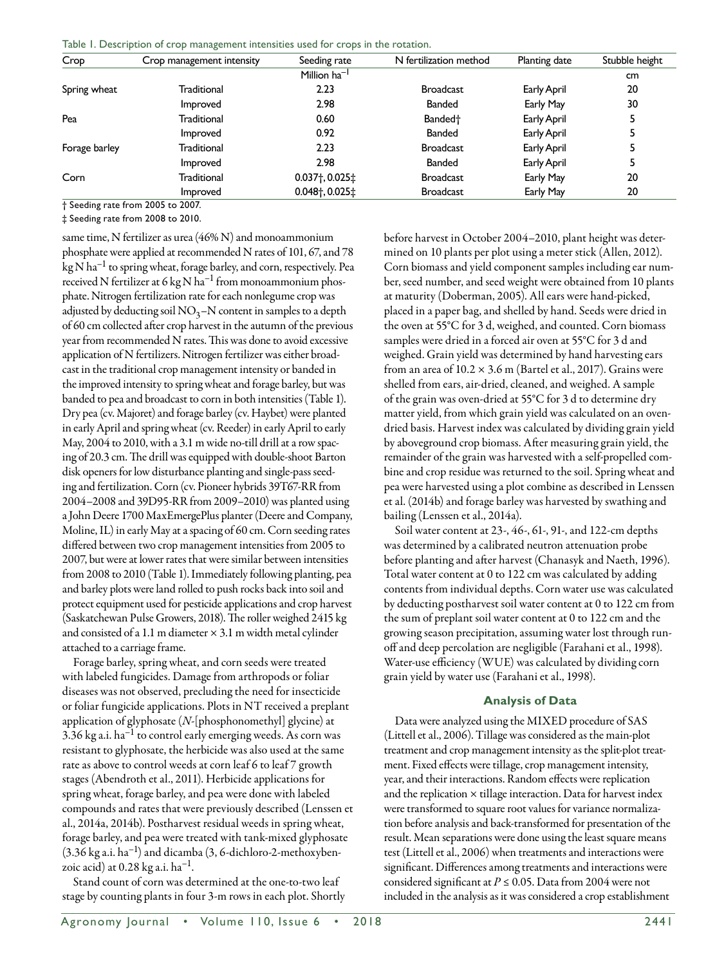|  |  | Table 1. Description of crop management intensities used for crops in the rotation. |
|--|--|-------------------------------------------------------------------------------------|
|  |  |                                                                                     |

| Crop                 | Crop management intensity | Seeding rate                                | N fertilization method | Planting date | Stubble height |
|----------------------|---------------------------|---------------------------------------------|------------------------|---------------|----------------|
|                      |                           | Million $ha^{-1}$                           |                        |               | cm             |
| Spring wheat         | Traditional               | 2.23                                        | <b>Broadcast</b>       | Early April   | 20             |
|                      | Improved                  | 2.98                                        | Banded                 | Early May     | 30             |
| Pea                  | Traditional               | 0.60                                        | Banded <sup>+</sup>    | Early April   |                |
|                      | Improved                  | 0.92                                        | Banded                 | Early April   |                |
| Forage barley        | Traditional               | 2.23                                        | <b>Broadcast</b>       | Early April   |                |
|                      | Improved                  | 2.98                                        | Banded                 | Early April   |                |
| Corn                 | Traditional               | $0.037$ <sup>+</sup> , $0.025$ <sup>+</sup> | <b>Broadcast</b>       | Early May     | 20             |
| $\sim$ $\sim$ $\sim$ | Improved<br>----          | $0.048$ <sup>+</sup> , $0.025$ <sup>+</sup> | <b>Broadcast</b>       | Early May     | 20             |

† Seeding rate from 2005 to 2007.

‡ Seeding rate from 2008 to 2010.

same time, N fertilizer as urea  $(46\% N)$  and monoammonium phosphate were applied at recommended N rates of 101, 67, and 78  $kg$  N ha $^{-1}$  to spring wheat, forage barley, and corn, respectively. Pea received N fertilizer at 6 kg N ha<sup>-1</sup> from monoammonium phosphate. Nitrogen fertilization rate for each nonlegume crop was adjusted by deducting soil  $NO<sub>3</sub>–N$  content in samples to a depth of 60 cm collected after crop harvest in the autumn of the previous year from recommended N rates. This was done to avoid excessive application of N fertilizers. Nitrogen fertilizer was either broadcast in the traditional crop management intensity or banded in the improved intensity to spring wheat and forage barley, but was banded to pea and broadcast to corn in both intensities (Table 1). Dry pea (cv. Majoret) and forage barley (cv. Haybet) were planted in early April and spring wheat (cv. Reeder) in early April to early May, 2004 to 2010, with a 3.1 m wide no-till drill at a row spacing of 20.3 cm. The drill was equipped with double-shoot Barton disk openers for low disturbance planting and single-pass seeding and fertilization. Corn (cv. Pioneer hybrids 39T67-RR from 2004–2008 and 39D95-RR from 2009–2010) was planted using a John Deere 1700 MaxEmergePlus planter (Deere and Company, Moline, IL) in early May at a spacing of 60 cm. Corn seeding rates differed between two crop management intensities from 2005 to 2007, but were at lower rates that were similar between intensities from 2008 to 2010 (Table 1). Immediately following planting, pea and barley plots were land rolled to push rocks back into soil and protect equipment used for pesticide applications and crop harvest (Saskatchewan Pulse Growers, 2018). The roller weighed 2415 kg and consisted of a 1.1 m diameter  $\times$  3.1 m width metal cylinder attached to a carriage frame.

Forage barley, spring wheat, and corn seeds were treated with labeled fungicides. Damage from arthropods or foliar diseases was not observed, precluding the need for insecticide or foliar fungicide applications. Plots in NT received a preplant application of glyphosate (*N*-[phosphonomethyl] glycine) at 3.36 kg a.i. ha<sup>-1</sup> to control early emerging weeds. As corn was resistant to glyphosate, the herbicide was also used at the same rate as above to control weeds at corn leaf 6 to leaf 7 growth stages (Abendroth et al., 2011). Herbicide applications for spring wheat, forage barley, and pea were done with labeled compounds and rates that were previously described (Lenssen et al., 2014a, 2014b). Postharvest residual weeds in spring wheat, forage barley, and pea were treated with tank-mixed glyphosate  $(3.36 \text{ kg a.i.} \text{ ha}^{-1})$  and dicamba  $(3, 6$ -dichloro-2-methoxybenzoic acid) at  $0.28 \text{ kg a.i.} \text{ ha}^{-1}$ .

Stand count of corn was determined at the one-to-two leaf stage by counting plants in four 3-m rows in each plot. Shortly before harvest in October 2004–2010, plant height was determined on 10 plants per plot using a meter stick (Allen, 2012). Corn biomass and yield component samples including ear number, seed number, and seed weight were obtained from 10 plants at maturity (Doberman, 2005). All ears were hand-picked, placed in a paper bag, and shelled by hand. Seeds were dried in the oven at 55°C for 3 d, weighed, and counted. Corn biomass samples were dried in a forced air oven at 55°C for 3 d and weighed. Grain yield was determined by hand harvesting ears from an area of  $10.2 \times 3.6$  m (Bartel et al., 2017). Grains were shelled from ears, air-dried, cleaned, and weighed. A sample of the grain was oven-dried at 55°C for 3 d to determine dry matter yield, from which grain yield was calculated on an ovendried basis. Harvest index was calculated by dividing grain yield by aboveground crop biomass. After measuring grain yield, the remainder of the grain was harvested with a self-propelled combine and crop residue was returned to the soil. Spring wheat and pea were harvested using a plot combine as described in Lenssen et al. (2014b) and forage barley was harvested by swathing and bailing (Lenssen et al., 2014a).

Soil water content at 23-, 46-, 61-, 91-, and 122-cm depths was determined by a calibrated neutron attenuation probe before planting and after harvest (Chanasyk and Naeth, 1996). Total water content at 0 to 122 cm was calculated by adding contents from individual depths. Corn water use was calculated by deducting postharvest soil water content at 0 to 122 cm from the sum of preplant soil water content at 0 to 122 cm and the growing season precipitation, assuming water lost through runoff and deep percolation are negligible (Farahani et al., 1998). Water-use efficiency (WUE) was calculated by dividing corn grain yield by water use (Farahani et al., 1998).

#### **Analysis of Data**

Data were analyzed using the MIXED procedure of SAS (Littell et al., 2006). Tillage was considered as the main-plot treatment and crop management intensity as the split-plot treatment. Fixed effects were tillage, crop management intensity, year, and their interactions. Random effects were replication and the replication  $\times$  tillage interaction. Data for harvest index were transformed to square root values for variance normalization before analysis and back-transformed for presentation of the result. Mean separations were done using the least square means test (Littell et al., 2006) when treatments and interactions were significant. Differences among treatments and interactions were considered significant at  $P \le 0.05$ . Data from 2004 were not included in the analysis as it was considered a crop establishment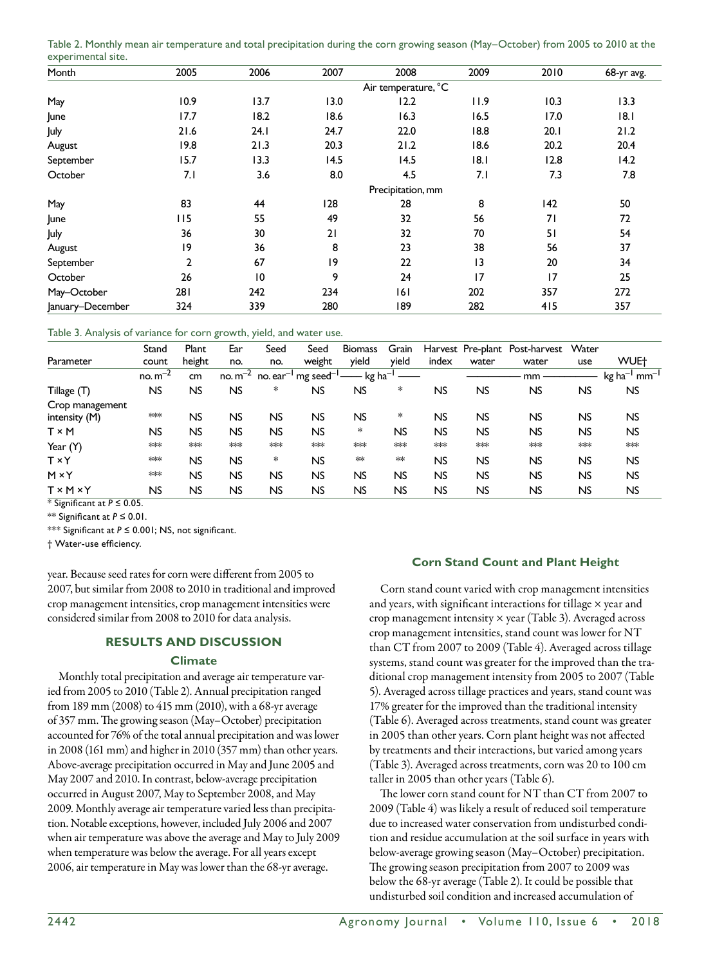|                    | Table 2. Monthly mean air temperature and total precipitation during the corn growing season (May–October) from 2005 to 2010 at the |  |  |  |  |
|--------------------|-------------------------------------------------------------------------------------------------------------------------------------|--|--|--|--|
| experimental site. |                                                                                                                                     |  |  |  |  |

| Month            | 2005              | 2006 | 2007 | 2008                | 2009 | 2010 | 68-yr avg. |  |  |  |
|------------------|-------------------|------|------|---------------------|------|------|------------|--|--|--|
|                  |                   |      |      | Air temperature, °C |      |      |            |  |  |  |
| May              | 10.9              | 13.7 | 13.0 | 12.2                | 11.9 | 10.3 | 13.3       |  |  |  |
| June             | 17.7              | 18.2 | 18.6 | 16.3                | 16.5 | 17.0 | 18.1       |  |  |  |
| July             | 21.6              | 24.1 | 24.7 | 22.0                | 18.8 | 20.1 | 21.2       |  |  |  |
| August           | 19.8              | 21.3 | 20.3 | 21.2                | 18.6 | 20.2 | 20.4       |  |  |  |
| September        | 15.7              | 13.3 | 14.5 | 14.5                | 8.1  | 12.8 | 14.2       |  |  |  |
| October          | 7.1               | 3.6  | 8.0  | 4.5                 | 7.1  | 7.3  | 7.8        |  |  |  |
|                  | Precipitation, mm |      |      |                     |      |      |            |  |  |  |
| May              | 83                | 44   | 128  | 28                  | 8    | 142  | 50         |  |  |  |
| June             | 115               | 55   | 49   | 32                  | 56   | 71   | 72         |  |  |  |
| July             | 36                | 30   | 21   | 32                  | 70   | 51   | 54         |  |  |  |
| August           | 9                 | 36   | 8    | 23                  | 38   | 56   | 37         |  |  |  |
| September        | $\mathbf{2}$      | 67   | 9    | 22                  | 13   | 20   | 34         |  |  |  |
| October          | 26                | 10   | 9    | 24                  | 17   | 17   | 25         |  |  |  |
| May-October      | 281               | 242  | 234  | 161                 | 202  | 357  | 272        |  |  |  |
| January-December | 324               | 339  | 280  | 189                 | 282  | 415  | 357        |  |  |  |

#### Table 3. Analysis of variance for corn growth, yield, and water use.

|                                  | Stand     | Plant     | Ear       | Seed      | Seed                                                        | <b>Biomass</b>      | Grain     |           |         | Harvest Pre-plant Post-harvest | Water     |                                        |
|----------------------------------|-----------|-----------|-----------|-----------|-------------------------------------------------------------|---------------------|-----------|-----------|---------|--------------------------------|-----------|----------------------------------------|
| Parameter                        | count     | height    | no.       | no.       | weight                                                      | yield               | yield     | index     | water   | water                          | use       | WUE†                                   |
|                                  | $no. m-2$ | cm        |           |           | no. $m^{-2}$ no. ear <sup>-1</sup> mg seed <sup>-1</sup> —— | kg ha <sup>-1</sup> |           |           |         | mm-                            |           | $kg$ ha <sup>-1</sup> mm <sup>-1</sup> |
| Tillage (T)                      | NS        | NS        | <b>NS</b> | *         | NS                                                          | <b>NS</b>           | *         | <b>NS</b> | NS      | NS.                            | NS.       | <b>NS</b>                              |
| Crop management<br>intensity (M) | **        | NS        | <b>NS</b> | <b>NS</b> | NS                                                          | NS                  | *         | NS.       | NS      | NS.                            | NS.       | <b>NS</b>                              |
| <b>T</b> × M                     | NS        | <b>NS</b> | <b>NS</b> | <b>NS</b> | <b>NS</b>                                                   | *                   | NS        | <b>NS</b> | NS      | NS.                            | NS.       | <b>NS</b>                              |
| Year (Y)                         | **        | $**$      | $**$      | $**$      | $**$                                                        | $*\)**$             | $**$      | $**$      | $*\)**$ | **                             | **        | $**$                                   |
| <b>TxY</b>                       | **        | <b>NS</b> | <b>NS</b> | *         | NS                                                          | ∗∗                  | $*\ast$   | <b>NS</b> | NS      | NS.                            | NS.       | <b>NS</b>                              |
| $M \times Y$                     | **        | <b>NS</b> | <b>NS</b> | <b>NS</b> | <b>NS</b>                                                   | <b>NS</b>           | NS        | <b>NS</b> | NS      | NS.                            | NS.       | <b>NS</b>                              |
| $T \times M \times Y$            | NS        | <b>NS</b> | <b>NS</b> | <b>NS</b> | <b>NS</b>                                                   | <b>NS</b>           | <b>NS</b> | <b>NS</b> | NS      | <b>NS</b>                      | <b>NS</b> | <b>NS</b>                              |

\* Significant at *P* ≤ 0.05.

\*\* Significant at *P* ≤ 0.01.

\*\*\* Significant at *P* ≤ 0.001; NS, not significant.

† Water-use efficiency.

year. Because seed rates for corn were different from 2005 to 2007, but similar from 2008 to 2010 in traditional and improved crop management intensities, crop management intensities were considered similar from 2008 to 2010 for data analysis.

# **RESULTS AND DISCUSSION**

#### **Climate**

Monthly total precipitation and average air temperature varied from 2005 to 2010 (Table 2). Annual precipitation ranged from 189 mm (2008) to 415 mm (2010), with a 68-yr average of 357 mm. The growing season (May–October) precipitation accounted for 76% of the total annual precipitation and was lower in 2008 (161 mm) and higher in 2010 (357 mm) than other years. Above-average precipitation occurred in May and June 2005 and May 2007 and 2010. In contrast, below-average precipitation occurred in August 2007, May to September 2008, and May 2009. Monthly average air temperature varied less than precipitation. Notable exceptions, however, included July 2006 and 2007 when air temperature was above the average and May to July 2009 when temperature was below the average. For all years except 2006, air temperature in May was lower than the 68-yr average.

## **Corn Stand Count and Plant Height**

Corn stand count varied with crop management intensities and years, with significant interactions for tillage  $\times$  year and crop management intensity × year (Table 3). Averaged across crop management intensities, stand count was lower for NT than CT from 2007 to 2009 (Table 4). Averaged across tillage systems, stand count was greater for the improved than the traditional crop management intensity from 2005 to 2007 (Table 5). Averaged across tillage practices and years, stand count was 17% greater for the improved than the traditional intensity (Table 6). Averaged across treatments, stand count was greater in 2005 than other years. Corn plant height was not affected by treatments and their interactions, but varied among years (Table 3). Averaged across treatments, corn was 20 to 100 cm taller in 2005 than other years (Table 6).

The lower corn stand count for NT than CT from 2007 to 2009 (Table 4) was likely a result of reduced soil temperature due to increased water conservation from undisturbed condition and residue accumulation at the soil surface in years with below-average growing season (May–October) precipitation. The growing season precipitation from 2007 to 2009 was below the 68-yr average (Table 2). It could be possible that undisturbed soil condition and increased accumulation of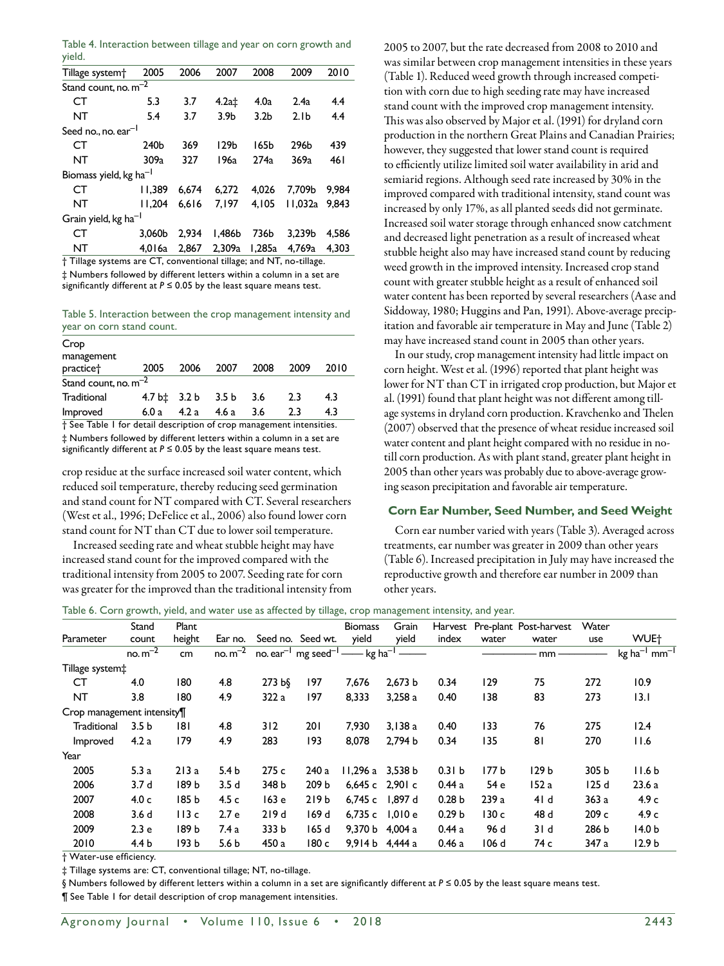Table 4. Interaction between tillage and year on corn growth and yield.

| Tillage system <sup>+</sup>        | 2005   | 2006  | 2007               | 2008             | 2009             | 2010  |
|------------------------------------|--------|-------|--------------------|------------------|------------------|-------|
| Stand count, no. $m^{-2}$          |        |       |                    |                  |                  |       |
| CT                                 | 5.3    | 3.7   | 4.2at              | 4.0a             | 2.4a             | 4.4   |
| <b>NT</b>                          | 5.4    | 3.7   | 3.9 <sub>b</sub>   | 3.2 <sub>b</sub> | 2.1 <sub>b</sub> | 4.4   |
| Seed no., no. ear <sup>-1</sup>    |        |       |                    |                  |                  |       |
| СT                                 | 240b   | 369   | 129b               | 165b             | 296b             | 439   |
| <b>NT</b>                          | 309a   | 327   | 196a               | 274a             | 369a             | 461   |
| Biomass yield, kg ha <sup>-1</sup> |        |       |                    |                  |                  |       |
| CT                                 | 11.389 | 6.674 | 6.272              | 4.026            | 7.709b           | 9.984 |
| <b>NT</b>                          | 11.204 | 6.616 | 7,197              | 4,105            | l I.032a         | 9.843 |
| Grain yield, kg ha <sup>-1</sup>   |        |       |                    |                  |                  |       |
| CT                                 | 3.060b | 2.934 | 1.486 <sub>b</sub> | 736b             | 3.239b           | 4.586 |
| NT                                 | 4.016a | 2.867 | 2,309a             | l,285a           | 4.769a           | 4.303 |

† Tillage systems are CT, conventional tillage; and NT, no-tillage.

‡ Numbers followed by different letters within a column in a set are significantly different at  $P \le 0.05$  by the least square means test.

Table 5. Interaction between the crop management intensity and year on corn stand count.

| Crop                      |                                                                              |                          |       |      |      |      |  |  |  |
|---------------------------|------------------------------------------------------------------------------|--------------------------|-------|------|------|------|--|--|--|
| management                |                                                                              |                          |       |      |      |      |  |  |  |
| practice†                 | 2005                                                                         | 2006                     | 2007  | 2008 | 2009 | 2010 |  |  |  |
| Stand count, no. $m^{-2}$ |                                                                              |                          |       |      |      |      |  |  |  |
| Traditional               |                                                                              | $4.7 b\pm 3.2 b$ $3.5 b$ |       | 3.6  | 2.3  | 4.3  |  |  |  |
| Improved                  | 6.0a                                                                         | 4.2a                     | 4.6 a | 3.6  | つろ   | 4.3  |  |  |  |
|                           | d. Contr Toble 1. Los desetidos estes en el especies secuento se secuente en |                          |       |      |      |      |  |  |  |

† See Table 1 for detail description of crop management intensities. ‡ Numbers followed by different letters within a column in a set are significantly different at  $P \le 0.05$  by the least square means test.

crop residue at the surface increased soil water content, which reduced soil temperature, thereby reducing seed germination and stand count for NT compared with CT. Several researchers (West et al., 1996; DeFelice et al., 2006) also found lower corn stand count for NT than CT due to lower soil temperature.

Increased seeding rate and wheat stubble height may have increased stand count for the improved compared with the traditional intensity from 2005 to 2007. Seeding rate for corn was greater for the improved than the traditional intensity from 2005 to 2007, but the rate decreased from 2008 to 2010 and was similar between crop management intensities in these years (Table 1). Reduced weed growth through increased competition with corn due to high seeding rate may have increased stand count with the improved crop management intensity. This was also observed by Major et al. (1991) for dryland corn production in the northern Great Plains and Canadian Prairies; however, they suggested that lower stand count is required to efficiently utilize limited soil water availability in arid and semiarid regions. Although seed rate increased by 30% in the improved compared with traditional intensity, stand count was increased by only 17%, as all planted seeds did not germinate. Increased soil water storage through enhanced snow catchment and decreased light penetration as a result of increased wheat stubble height also may have increased stand count by reducing weed growth in the improved intensity. Increased crop stand count with greater stubble height as a result of enhanced soil water content has been reported by several researchers (Aase and Siddoway, 1980; Huggins and Pan, 1991). Above-average precipitation and favorable air temperature in May and June (Table 2) may have increased stand count in 2005 than other years.

In our study, crop management intensity had little impact on corn height. West et al. (1996) reported that plant height was lower for NT than CT in irrigated crop production, but Major et al. (1991) found that plant height was not different among tillage systems in dryland corn production. Kravchenko and Thelen (2007) observed that the presence of wheat residue increased soil water content and plant height compared with no residue in notill corn production. As with plant stand, greater plant height in 2005 than other years was probably due to above-average growing season precipitation and favorable air temperature.

## **Corn Ear Number, Seed Number, and Seed Weight**

Corn ear number varied with years (Table 3). Averaged across treatments, ear number was greater in 2009 than other years (Table 6). Increased precipitation in July may have increased the reproductive growth and therefore ear number in 2009 than other years.

| Table 6. Corn growth, yield, and water use as affected by tillage, crop management intensity, and year. |  |  |  |  |
|---------------------------------------------------------------------------------------------------------|--|--|--|--|
|                                                                                                         |  |  |  |  |

|                           | Stand            | Plant            |                  |                                                                          |                   | <b>Biomass</b>     | Grain           |                   |                  | Harvest Pre-plant Post-harvest | Water |                                      |
|---------------------------|------------------|------------------|------------------|--------------------------------------------------------------------------|-------------------|--------------------|-----------------|-------------------|------------------|--------------------------------|-------|--------------------------------------|
| Parameter                 | count            | height           | Ear no.          |                                                                          | Seed no. Seed wt. | yield              | yield           | index             | water            | water                          | use   | WUE <sup>+</sup>                     |
|                           | $no. m^{-2}$     | cm               | $no. m^{-2}$     | no. ear <sup>– I</sup> mg seed <sup>– I</sup> —— kg ha <sup>– I</sup> —— |                   |                    |                 |                   |                  | mm                             |       | kg ha <sup>-1</sup> mm <sup>-1</sup> |
| Tillage system‡           |                  |                  |                  |                                                                          |                   |                    |                 |                   |                  |                                |       |                                      |
| СT                        | 4.0              | 180              | 4.8              | 273 b                                                                    | 197               | 7,676              | 2,673 b         | 0.34              | 129              | 75                             | 272   | 10.9                                 |
| NT                        | 3.8              | 180              | 4.9              | 322a                                                                     | 197               | 8,333              | 3,258a          | 0.40              | 138              | 83                             | 273   | 13.1                                 |
| Crop management intensity |                  |                  |                  |                                                                          |                   |                    |                 |                   |                  |                                |       |                                      |
| Traditional               | 3.5 <sub>b</sub> | 181              | 4.8              | 312                                                                      | 201               | 7,930              | 3,138a          | 0.40              | 133              | 76                             | 275   | 12.4                                 |
| Improved                  | 4.2a             | 179              | 4.9              | 283                                                                      | 193               | 8,078              | 2,794 b         | 0.34              | 135              | 81                             | 270   | 11.6                                 |
| Year                      |                  |                  |                  |                                                                          |                   |                    |                 |                   |                  |                                |       |                                      |
| 2005                      | 5.3a             | 213a             | 5.4 <sub>b</sub> | 275 c                                                                    | 240 a             | $11,296$ a 3,538 b |                 | 0.31 <sub>b</sub> | 177 <sub>b</sub> | 129 <sub>b</sub>               | 305 b | 11.6 <sub>b</sub>                    |
| 2006                      | 3.7d             | 189b             | 3.5d             | 348 b                                                                    | 209 b             |                    | 6,645 c 2,901 c | 0.44a             | 54 e             | 152 a                          | 125d  | 23.6a                                |
| 2007                      | 4.0 c            | 185 b            | 4.5c             | 163 e                                                                    | 219 <sub>b</sub>  |                    | 6,745 c 1,897 d | 0.28 <sub>b</sub> | 239a             | 41d                            | 363a  | 4.9c                                 |
| 2008                      | 3.6 <sub>d</sub> | 113c             | 2.7e             | 219d                                                                     | 169 d             |                    | 6,735 c 1,010 e | 0.29 <sub>b</sub> | 130c             | 48 d                           | 209 c | 4.9c                                 |
| 2009                      | 2.3e             | 189b             | 7.4a             | 333 <sub>b</sub>                                                         | 165d              | 9.370 b            | 4.004 a         | 0.44a             | 96 d             | 31d                            | 286 b | 14.0 <sub>b</sub>                    |
| 2010                      | 4.4 <sub>b</sub> | 193 <sub>b</sub> | 5.6 <sub>b</sub> | 450 a                                                                    | 180c              | 9,914 b $4,444$ a  |                 | 0.46a             | 106 d            | 74 c                           | 347 a | 12.9 <sub>b</sub>                    |

† Water-use efficiency.

‡ Tillage systems are: CT, conventional tillage; NT, no-tillage.

§ Numbers followed by different letters within a column in a set are significantly different at *P* ≤ 0.05 by the least square means test. ¶ See Table 1 for detail description of crop management intensities.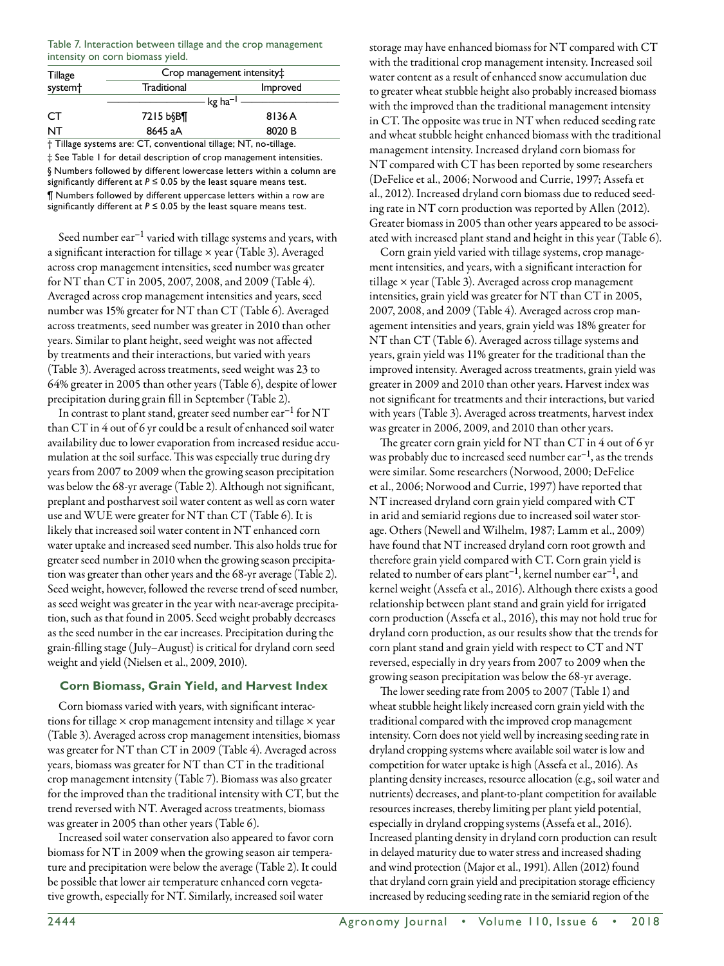#### Table 7. Interaction between tillage and the crop management intensity on corn biomass yield.

| Tillage             | Crop management intensity <sup>+</sup> |          |  |  |  |  |  |  |
|---------------------|----------------------------------------|----------|--|--|--|--|--|--|
| system <sup>+</sup> | Traditional                            | Improved |  |  |  |  |  |  |
|                     | $kg$ ha <sup>-1</sup>                  |          |  |  |  |  |  |  |
|                     |                                        |          |  |  |  |  |  |  |
| CТ                  | 7215 b§B¶                              | 8136 A   |  |  |  |  |  |  |
| <b>NT</b>           | 8645 aA                                | 8020 B   |  |  |  |  |  |  |
| $\sim$ $\sim$       | .                                      |          |  |  |  |  |  |  |

† Tillage systems are: CT, conventional tillage; NT, no-tillage. ‡ See Table 1 for detail description of crop management intensities. § Numbers followed by different lowercase letters within a column are significantly different at  $P \le 0.05$  by the least square means test. ¶ Numbers followed by different uppercase letters within a row are significantly different at  $P \le 0.05$  by the least square means test.

Seed number  $ear^{-1}$  varied with tillage systems and years, with a significant interaction for tillage  $\times$  year (Table 3). Averaged across crop management intensities, seed number was greater for NT than CT in 2005, 2007, 2008, and 2009 (Table 4). Averaged across crop management intensities and years, seed number was 15% greater for NT than CT (Table 6). Averaged across treatments, seed number was greater in 2010 than other years. Similar to plant height, seed weight was not affected by treatments and their interactions, but varied with years (Table 3). Averaged across treatments, seed weight was 23 to 64% greater in 2005 than other years (Table 6), despite of lower precipitation during grain fill in September (Table 2).

In contrast to plant stand, greater seed number  $ear^{-1}$  for NT than CT in 4 out of 6 yr could be a result of enhanced soil water availability due to lower evaporation from increased residue accumulation at the soil surface. This was especially true during dry years from 2007 to 2009 when the growing season precipitation was below the 68-yr average (Table 2). Although not significant, preplant and postharvest soil water content as well as corn water use and WUE were greater for NT than CT (Table 6). It is likely that increased soil water content in NT enhanced corn water uptake and increased seed number. This also holds true for greater seed number in 2010 when the growing season precipitation was greater than other years and the 68-yr average (Table 2). Seed weight, however, followed the reverse trend of seed number, as seed weight was greater in the year with near-average precipitation, such as that found in 2005. Seed weight probably decreases as the seed number in the ear increases. Precipitation during the grain-filling stage (July–August) is critical for dryland corn seed weight and yield (Nielsen et al., 2009, 2010).

# **Corn Biomass, Grain Yield, and Harvest Index**

Corn biomass varied with years, with significant interactions for tillage  $\times$  crop management intensity and tillage  $\times$  year (Table 3). Averaged across crop management intensities, biomass was greater for NT than CT in 2009 (Table 4). Averaged across years, biomass was greater for NT than CT in the traditional crop management intensity (Table 7). Biomass was also greater for the improved than the traditional intensity with CT, but the trend reversed with NT. Averaged across treatments, biomass was greater in 2005 than other years (Table 6).

Increased soil water conservation also appeared to favor corn biomass for NT in 2009 when the growing season air temperature and precipitation were below the average (Table 2). It could be possible that lower air temperature enhanced corn vegetative growth, especially for NT. Similarly, increased soil water

storage may have enhanced biomass for NT compared with CT with the traditional crop management intensity. Increased soil water content as a result of enhanced snow accumulation due to greater wheat stubble height also probably increased biomass with the improved than the traditional management intensity in CT. The opposite was true in NT when reduced seeding rate and wheat stubble height enhanced biomass with the traditional management intensity. Increased dryland corn biomass for NT compared with CT has been reported by some researchers (DeFelice et al., 2006; Norwood and Currie, 1997; Assefa et al., 2012). Increased dryland corn biomass due to reduced seeding rate in NT corn production was reported by Allen (2012). Greater biomass in 2005 than other years appeared to be associated with increased plant stand and height in this year (Table 6).

Corn grain yield varied with tillage systems, crop management intensities, and years, with a significant interaction for tillage × year (Table 3). Averaged across crop management intensities, grain yield was greater for NT than CT in 2005, 2007, 2008, and 2009 (Table 4). Averaged across crop management intensities and years, grain yield was 18% greater for NT than CT (Table 6). Averaged across tillage systems and years, grain yield was 11% greater for the traditional than the improved intensity. Averaged across treatments, grain yield was greater in 2009 and 2010 than other years. Harvest index was not significant for treatments and their interactions, but varied with years (Table 3). Averaged across treatments, harvest index was greater in 2006, 2009, and 2010 than other years.

The greater corn grain yield for NT than CT in 4 out of 6 yr was probably due to increased seed number  $ear^{-1}$ , as the trends were similar. Some researchers (Norwood, 2000; DeFelice et al., 2006; Norwood and Currie, 1997) have reported that NT increased dryland corn grain yield compared with CT in arid and semiarid regions due to increased soil water storage. Others (Newell and Wilhelm, 1987; Lamm et al., 2009) have found that NT increased dryland corn root growth and therefore grain yield compared with CT. Corn grain yield is related to number of ears plant<sup>-1</sup>, kernel number ear<sup>-1</sup>, and kernel weight (Assefa et al., 2016). Although there exists a good relationship between plant stand and grain yield for irrigated corn production (Assefa et al., 2016), this may not hold true for dryland corn production, as our results show that the trends for corn plant stand and grain yield with respect to CT and NT reversed, especially in dry years from 2007 to 2009 when the growing season precipitation was below the 68-yr average.

The lower seeding rate from 2005 to 2007 (Table 1) and wheat stubble height likely increased corn grain yield with the traditional compared with the improved crop management intensity. Corn does not yield well by increasing seeding rate in dryland cropping systems where available soil water is low and competition for water uptake is high (Assefa et al., 2016). As planting density increases, resource allocation (e.g., soil water and nutrients) decreases, and plant-to-plant competition for available resources increases, thereby limiting per plant yield potential, especially in dryland cropping systems (Assefa et al., 2016). Increased planting density in dryland corn production can result in delayed maturity due to water stress and increased shading and wind protection (Major et al., 1991). Allen (2012) found that dryland corn grain yield and precipitation storage efficiency increased by reducing seeding rate in the semiarid region of the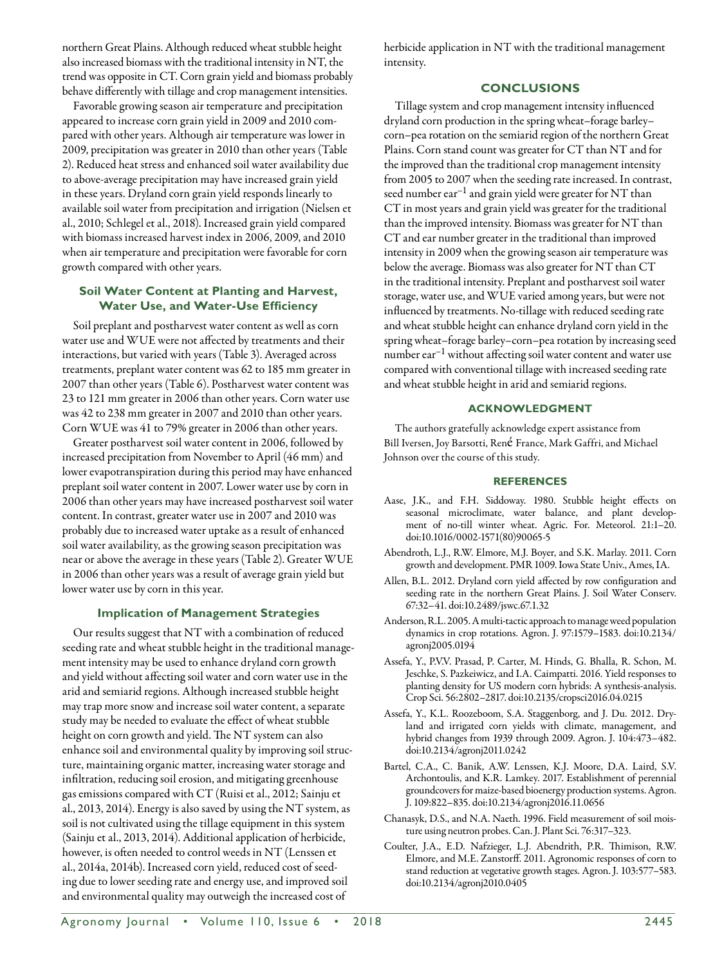northern Great Plains. Although reduced wheat stubble height also increased biomass with the traditional intensity in NT, the trend was opposite in CT. Corn grain yield and biomass probably behave differently with tillage and crop management intensities.

Favorable growing season air temperature and precipitation appeared to increase corn grain yield in 2009 and 2010 compared with other years. Although air temperature was lower in 2009, precipitation was greater in 2010 than other years (Table 2). Reduced heat stress and enhanced soil water availability due to above-average precipitation may have increased grain yield in these years. Dryland corn grain yield responds linearly to available soil water from precipitation and irrigation (Nielsen et al., 2010; Schlegel et al., 2018). Increased grain yield compared with biomass increased harvest index in 2006, 2009, and 2010 when air temperature and precipitation were favorable for corn growth compared with other years.

### **Soil Water Content at Planting and Harvest, Water Use, and Water-Use Efficiency**

Soil preplant and postharvest water content as well as corn water use and WUE were not affected by treatments and their interactions, but varied with years (Table 3). Averaged across treatments, preplant water content was 62 to 185 mm greater in 2007 than other years (Table 6). Postharvest water content was 23 to 121 mm greater in 2006 than other years. Corn water use was 42 to 238 mm greater in 2007 and 2010 than other years. Corn WUE was 41 to 79% greater in 2006 than other years.

Greater postharvest soil water content in 2006, followed by increased precipitation from November to April (46 mm) and lower evapotranspiration during this period may have enhanced preplant soil water content in 2007. Lower water use by corn in 2006 than other years may have increased postharvest soil water content. In contrast, greater water use in 2007 and 2010 was probably due to increased water uptake as a result of enhanced soil water availability, as the growing season precipitation was near or above the average in these years (Table 2). Greater WUE in 2006 than other years was a result of average grain yield but lower water use by corn in this year.

## **Implication of Management Strategies**

Our results suggest that NT with a combination of reduced seeding rate and wheat stubble height in the traditional management intensity may be used to enhance dryland corn growth and yield without affecting soil water and corn water use in the arid and semiarid regions. Although increased stubble height may trap more snow and increase soil water content, a separate study may be needed to evaluate the effect of wheat stubble height on corn growth and yield. The NT system can also enhance soil and environmental quality by improving soil structure, maintaining organic matter, increasing water storage and infiltration, reducing soil erosion, and mitigating greenhouse gas emissions compared with CT (Ruisi et al., 2012; Sainju et al., 2013, 2014). Energy is also saved by using the NT system, as soil is not cultivated using the tillage equipment in this system (Sainju et al., 2013, 2014). Additional application of herbicide, however, is often needed to control weeds in NT (Lenssen et al., 2014a, 2014b). Increased corn yield, reduced cost of seeding due to lower seeding rate and energy use, and improved soil and environmental quality may outweigh the increased cost of

herbicide application in NT with the traditional management intensity.

## **CONCLUSIONS**

Tillage system and crop management intensity influenced dryland corn production in the spring wheat–forage barley– corn–pea rotation on the semiarid region of the northern Great Plains. Corn stand count was greater for CT than NT and for the improved than the traditional crop management intensity from 2005 to 2007 when the seeding rate increased. In contrast, seed number  $ear^{-1}$  and grain yield were greater for NT than CT in most years and grain yield was greater for the traditional than the improved intensity. Biomass was greater for NT than CT and ear number greater in the traditional than improved intensity in 2009 when the growing season air temperature was below the average. Biomass was also greater for NT than CT in the traditional intensity. Preplant and postharvest soil water storage, water use, and WUE varied among years, but were not influenced by treatments. No-tillage with reduced seeding rate and wheat stubble height can enhance dryland corn yield in the spring wheat–forage barley–corn–pea rotation by increasing seed number  $ear^{-1}$  without affecting soil water content and water use compared with conventional tillage with increased seeding rate and wheat stubble height in arid and semiarid regions.

#### **ACKNOWLEDGMENT**

The authors gratefully acknowledge expert assistance from Bill Iversen, Joy Barsotti, René France, Mark Gaffri, and Michael Johnson over the course of this study.

#### **REFERENCES**

- Aase, J.K., and F.H. Siddoway. 1980. Stubble height effects on seasonal microclimate, water balance, and plant development of no-till winter wheat. Agric. For. Meteorol. 21:1–20. doi:10.1016/0002-1571(80)90065-5
- Abendroth, L.J., R.W. Elmore, M.J. Boyer, and S.K. Marlay. 2011. Corn growth and development. PMR 1009. Iowa State Univ., Ames, IA.
- Allen, B.L. 2012. Dryland corn yield affected by row configuration and seeding rate in the northern Great Plains. J. Soil Water Conserv. 67:32–41. doi:10.2489/jswc.67.1.32
- Anderson, R.L. 2005. A multi-tactic approach to manage weed population dynamics in crop rotations. Agron. J. 97:1579–1583. doi:10.2134/ agronj2005.0194
- Assefa, Y., P.V.V. Prasad, P. Carter, M. Hinds, G. Bhalla, R. Schon, M. Jeschke, S. Pazkeiwicz, and I.A. Caimpatti. 2016. Yield responses to planting density for US modern corn hybrids: A synthesis-analysis. Crop Sci. 56:2802–2817. doi:10.2135/cropsci2016.04.0215
- Assefa, Y., K.L. Roozeboom, S.A. Staggenborg, and J. Du. 2012. Dryland and irrigated corn yields with climate, management, and hybrid changes from 1939 through 2009. Agron. J. 104:473–482. doi:10.2134/agronj2011.0242
- Bartel, C.A., C. Banik, A.W. Lenssen, K.J. Moore, D.A. Laird, S.V. Archontoulis, and K.R. Lamkey. 2017. Establishment of perennial groundcovers for maize-based bioenergy production systems. Agron. J. 109:822–835. doi:10.2134/agronj2016.11.0656
- Chanasyk, D.S., and N.A. Naeth. 1996. Field measurement of soil moisture using neutron probes. Can. J. Plant Sci. 76:317–323.
- Coulter, J.A., E.D. Nafzieger, L.J. Abendrith, P.R. Thimison, R.W. Elmore, and M.E. Zanstorff. 2011. Agronomic responses of corn to stand reduction at vegetative growth stages. Agron. J. 103:577–583. doi:10.2134/agronj2010.0405